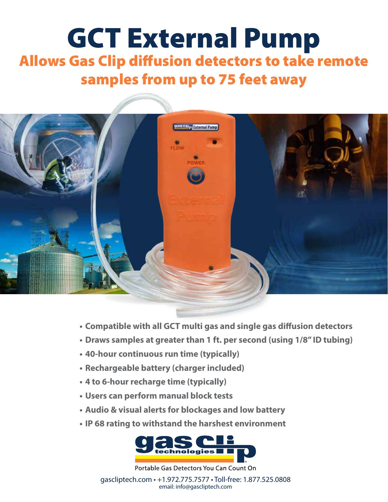## GCT External Pump Allows Gas Clip diffusion detectors to take remote samples from up to 75 feet away



- **• Compatible with all GCT multi gas and single gas diffusion detectors**
- **• Draws samples at greater than 1 ft. per second (using 1/8" ID tubing)**
- **• 40-hour continuous run time (typically)**
- **• Rechargeable battery (charger included)**
- **• 4 to 6-hour recharge time (typically)**
- **• Users can perform manual block tests**
- **• Audio & visual alerts for blockages and low battery**
- **• IP 68 rating to withstand the harshest environment**



Portable Gas Detectors You Can Count On

gascliptech.com • +1.972.775.7577 • Toll-free: 1.877.525.0808 email: info@gascliptech.com